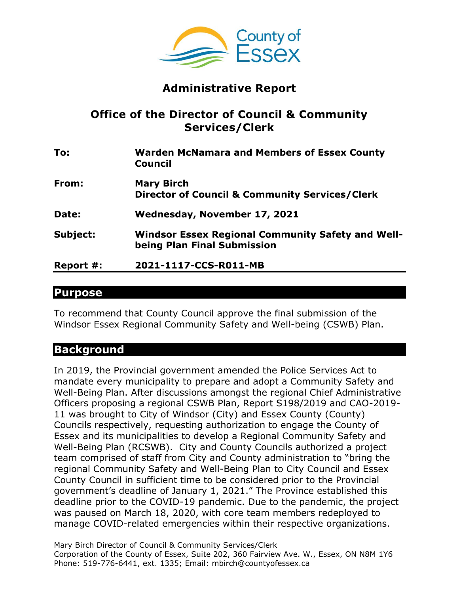

# **Administrative Report**

### **Office of the Director of Council & Community Services/Clerk**

| To:       | <b>Warden McNamara and Members of Essex County</b><br><b>Council</b>                    |
|-----------|-----------------------------------------------------------------------------------------|
| From:     | <b>Mary Birch</b>                                                                       |
|           | <b>Director of Council &amp; Community Services/Clerk</b>                               |
| Date:     | Wednesday, November 17, 2021                                                            |
| Subject:  | <b>Windsor Essex Regional Community Safety and Well-</b><br>being Plan Final Submission |
| Report #: | 2021-1117-CCS-R011-MB                                                                   |

#### **Purpose**

To recommend that County Council approve the final submission of the Windsor Essex Regional Community Safety and Well-being (CSWB) Plan.

### **Background**

In 2019, the Provincial government amended the Police Services Act to mandate every municipality to prepare and adopt a Community Safety and Well-Being Plan. After discussions amongst the regional Chief Administrative Officers proposing a regional CSWB Plan, Report S198/2019 and CAO-2019- 11 was brought to City of Windsor (City) and Essex County (County) Councils respectively, requesting authorization to engage the County of Essex and its municipalities to develop a Regional Community Safety and Well-Being Plan (RCSWB). City and County Councils authorized a project team comprised of staff from City and County administration to "bring the regional Community Safety and Well-Being Plan to City Council and Essex County Council in sufficient time to be considered prior to the Provincial government's deadline of January 1, 2021." The Province established this deadline prior to the COVID-19 pandemic. Due to the pandemic, the project was paused on March 18, 2020, with core team members redeployed to manage COVID-related emergencies within their respective organizations.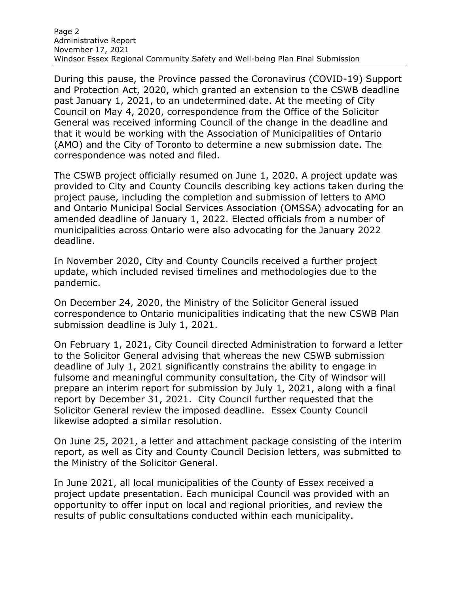During this pause, the Province passed the Coronavirus (COVID-19) Support and Protection Act, 2020, which granted an extension to the CSWB deadline past January 1, 2021, to an undetermined date. At the meeting of City Council on May 4, 2020, correspondence from the Office of the Solicitor General was received informing Council of the change in the deadline and that it would be working with the Association of Municipalities of Ontario (AMO) and the City of Toronto to determine a new submission date. The correspondence was noted and filed.

The CSWB project officially resumed on June 1, 2020. A project update was provided to City and County Councils describing key actions taken during the project pause, including the completion and submission of letters to AMO and Ontario Municipal Social Services Association (OMSSA) advocating for an amended deadline of January 1, 2022. Elected officials from a number of municipalities across Ontario were also advocating for the January 2022 deadline.

In November 2020, City and County Councils received a further project update, which included revised timelines and methodologies due to the pandemic.

On December 24, 2020, the Ministry of the Solicitor General issued correspondence to Ontario municipalities indicating that the new CSWB Plan submission deadline is July 1, 2021.

On February 1, 2021, City Council directed Administration to forward a letter to the Solicitor General advising that whereas the new CSWB submission deadline of July 1, 2021 significantly constrains the ability to engage in fulsome and meaningful community consultation, the City of Windsor will prepare an interim report for submission by July 1, 2021, along with a final report by December 31, 2021. City Council further requested that the Solicitor General review the imposed deadline. Essex County Council likewise adopted a similar resolution.

On June 25, 2021, a letter and attachment package consisting of the interim report, as well as City and County Council Decision letters, was submitted to the Ministry of the Solicitor General.

In June 2021, all local municipalities of the County of Essex received a project update presentation. Each municipal Council was provided with an opportunity to offer input on local and regional priorities, and review the results of public consultations conducted within each municipality.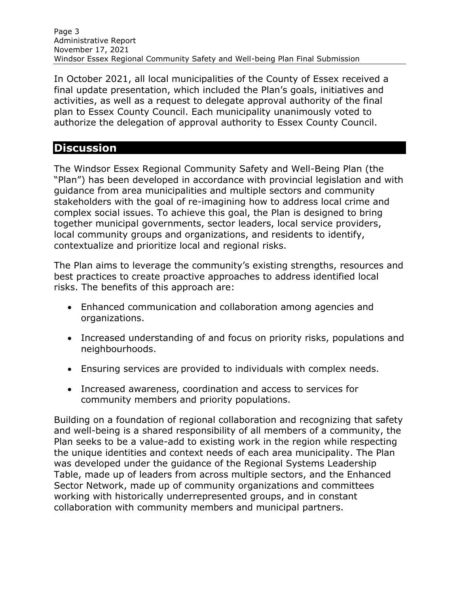In October 2021, all local municipalities of the County of Essex received a final update presentation, which included the Plan's goals, initiatives and activities, as well as a request to delegate approval authority of the final plan to Essex County Council. Each municipality unanimously voted to authorize the delegation of approval authority to Essex County Council.

## **Discussion**

The Windsor Essex Regional Community Safety and Well-Being Plan (the "Plan") has been developed in accordance with provincial legislation and with guidance from area municipalities and multiple sectors and community stakeholders with the goal of re-imagining how to address local crime and complex social issues. To achieve this goal, the Plan is designed to bring together municipal governments, sector leaders, local service providers, local community groups and organizations, and residents to identify, contextualize and prioritize local and regional risks.

The Plan aims to leverage the community's existing strengths, resources and best practices to create proactive approaches to address identified local risks. The benefits of this approach are:

- Enhanced communication and collaboration among agencies and organizations.
- Increased understanding of and focus on priority risks, populations and neighbourhoods.
- Ensuring services are provided to individuals with complex needs.
- Increased awareness, coordination and access to services for community members and priority populations.

Building on a foundation of regional collaboration and recognizing that safety and well-being is a shared responsibility of all members of a community, the Plan seeks to be a value-add to existing work in the region while respecting the unique identities and context needs of each area municipality. The Plan was developed under the guidance of the Regional Systems Leadership Table, made up of leaders from across multiple sectors, and the Enhanced Sector Network, made up of community organizations and committees working with historically underrepresented groups, and in constant collaboration with community members and municipal partners.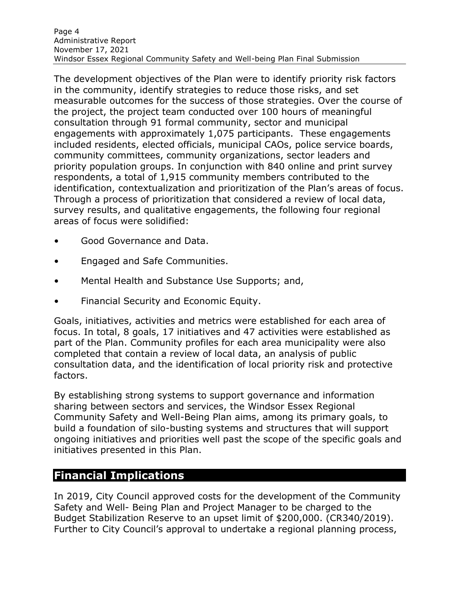The development objectives of the Plan were to identify priority risk factors in the community, identify strategies to reduce those risks, and set measurable outcomes for the success of those strategies. Over the course of the project, the project team conducted over 100 hours of meaningful consultation through 91 formal community, sector and municipal engagements with approximately 1,075 participants. These engagements included residents, elected officials, municipal CAOs, police service boards, community committees, community organizations, sector leaders and priority population groups. In conjunction with 840 online and print survey respondents, a total of 1,915 community members contributed to the identification, contextualization and prioritization of the Plan's areas of focus. Through a process of prioritization that considered a review of local data, survey results, and qualitative engagements, the following four regional areas of focus were solidified:

- Good Governance and Data.
- Engaged and Safe Communities.
- Mental Health and Substance Use Supports; and,
- Financial Security and Economic Equity.

Goals, initiatives, activities and metrics were established for each area of focus. In total, 8 goals, 17 initiatives and 47 activities were established as part of the Plan. Community profiles for each area municipality were also completed that contain a review of local data, an analysis of public consultation data, and the identification of local priority risk and protective factors.

By establishing strong systems to support governance and information sharing between sectors and services, the Windsor Essex Regional Community Safety and Well-Being Plan aims, among its primary goals, to build a foundation of silo-busting systems and structures that will support ongoing initiatives and priorities well past the scope of the specific goals and initiatives presented in this Plan.

### **Financial Implications**

In 2019, City Council approved costs for the development of the Community Safety and Well- Being Plan and Project Manager to be charged to the Budget Stabilization Reserve to an upset limit of \$200,000. (CR340/2019). Further to City Council's approval to undertake a regional planning process,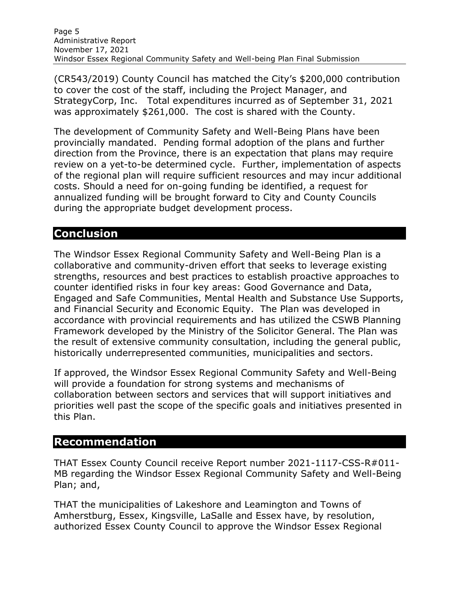(CR543/2019) County Council has matched the City's \$200,000 contribution to cover the cost of the staff, including the Project Manager, and StrategyCorp, Inc. Total expenditures incurred as of September 31, 2021 was approximately \$261,000. The cost is shared with the County.

The development of Community Safety and Well-Being Plans have been provincially mandated. Pending formal adoption of the plans and further direction from the Province, there is an expectation that plans may require review on a yet-to-be determined cycle. Further, implementation of aspects of the regional plan will require sufficient resources and may incur additional costs. Should a need for on-going funding be identified, a request for annualized funding will be brought forward to City and County Councils during the appropriate budget development process.

## **Conclusion**

The Windsor Essex Regional Community Safety and Well-Being Plan is a collaborative and community-driven effort that seeks to leverage existing strengths, resources and best practices to establish proactive approaches to counter identified risks in four key areas: Good Governance and Data, Engaged and Safe Communities, Mental Health and Substance Use Supports, and Financial Security and Economic Equity. The Plan was developed in accordance with provincial requirements and has utilized the CSWB Planning Framework developed by the Ministry of the Solicitor General. The Plan was the result of extensive community consultation, including the general public, historically underrepresented communities, municipalities and sectors.

If approved, the Windsor Essex Regional Community Safety and Well-Being will provide a foundation for strong systems and mechanisms of collaboration between sectors and services that will support initiatives and priorities well past the scope of the specific goals and initiatives presented in this Plan.

### **Recommendation**

THAT Essex County Council receive Report number 2021-1117-CSS-R#011- MB regarding the Windsor Essex Regional Community Safety and Well-Being Plan; and,

THAT the municipalities of Lakeshore and Leamington and Towns of Amherstburg, Essex, Kingsville, LaSalle and Essex have, by resolution, authorized Essex County Council to approve the Windsor Essex Regional